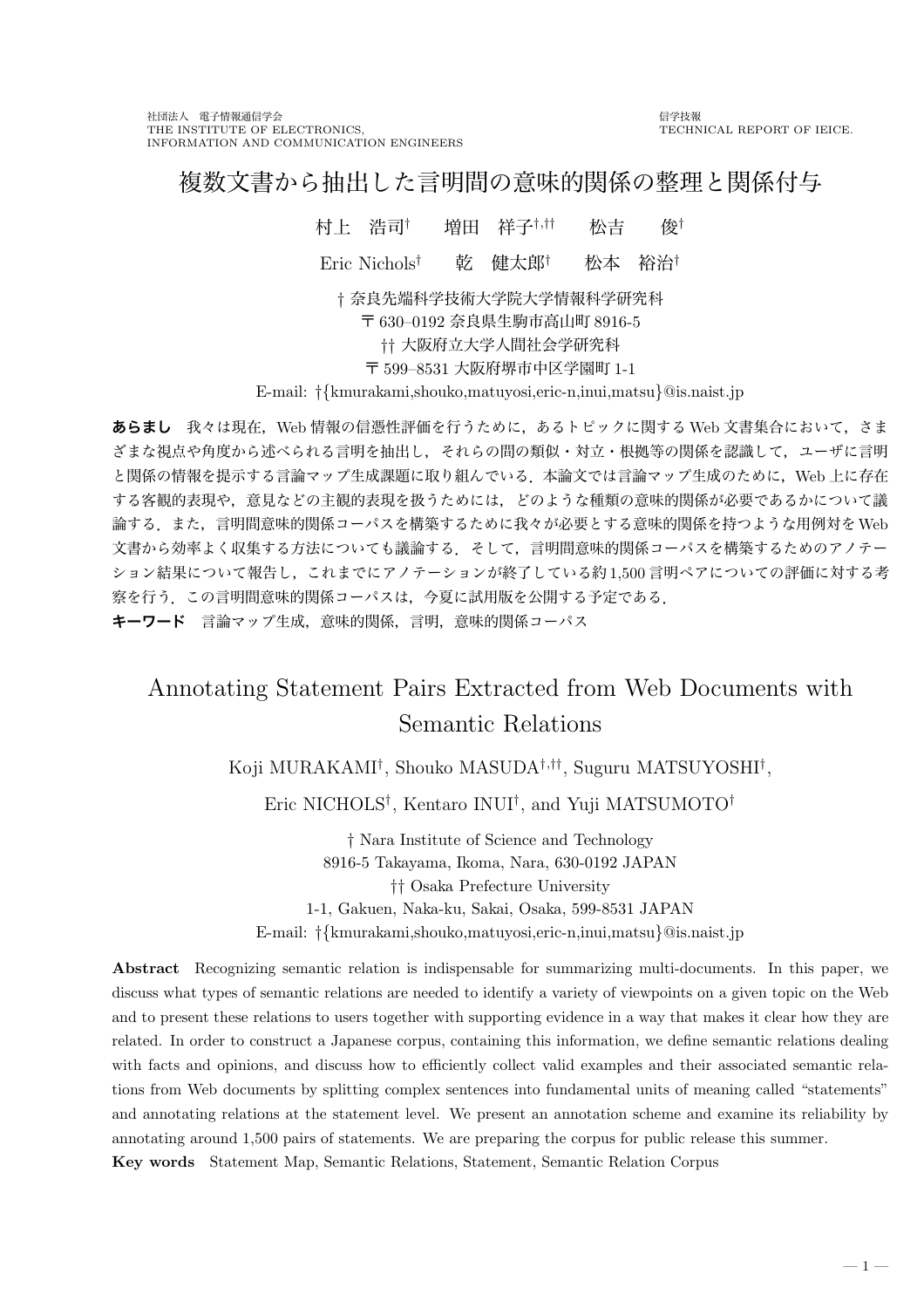# 複数文書から抽出した言明間の意味的関係の整理と関係付与

村上 浩司† 増田 祥子†,†† 松吉 俊† Eric Nichols† 乾 健太郎† 松本 裕治† † 奈良先端科学技術大学院大学情報科学研究科 〒 630–0192 奈良県生駒市高山町 8916-5 †† 大阪府立大学人間社会学研究科 〒 599–8531 大阪府堺市中区学園町 1-1

E-mail: †{kmurakami,shouko,matuyosi,eric-n,inui,matsu}@is.naist.jp

あらまし 我々は現在, Web 情報の信憑性評価を行うために,あるトピックに関する Web 文書集合において,さま ざまな視点や角度から述べられる言明を抽出し,それらの間の類似・対立・根拠等の関係を認識して,ユーザに言明 と関係の情報を提示する言論マップ生成課題に取り組んでいる.本論文では言論マップ生成のために,Web 上に存在 する客観的表現や,意見などの主観的表現を扱うためには,どのような種類の意味的関係が必要であるかについて議 論する.また,言明間意味的関係コーパスを構築するために我々が必要とする意味的関係を持つような用例対をWeb 文書から効率よく収集する方法についても議論する.そして,言明間意味的関係コーパスを構築するためのアノテー ション結果について報告し,これまでにアノテーションが終了している約 1,500 言明ペアについての評価に対する考 察を行う.この言明間意味的関係コーパスは,今夏に試用版を公開する予定である. キーワード 言論マップ生成, 意味的関係, 言明, 意味的関係コーパス

# Annotating Statement Pairs Extracted from Web Documents with Semantic Relations

Koji MURAKAMI<sup>†</sup>, Shouko MASUDA<sup>†,††</sup>, Suguru MATSUYOSHI<sup>†</sup>,

Eric NICHOLS† , Kentaro INUI† , and Yuji MATSUMOTO†

† Nara Institute of Science and Technology 8916-5 Takayama, Ikoma, Nara, 630-0192 JAPAN †† Osaka Prefecture University 1-1, Gakuen, Naka-ku, Sakai, Osaka, 599-8531 JAPAN E-mail: †{kmurakami,shouko,matuyosi,eric-n,inui,matsu}@is.naist.jp

Abstract Recognizing semantic relation is indispensable for summarizing multi-documents. In this paper, we discuss what types of semantic relations are needed to identify a variety of viewpoints on a given topic on the Web and to present these relations to users together with supporting evidence in a way that makes it clear how they are related. In order to construct a Japanese corpus, containing this information, we define semantic relations dealing with facts and opinions, and discuss how to efficiently collect valid examples and their associated semantic relations from Web documents by splitting complex sentences into fundamental units of meaning called "statements" and annotating relations at the statement level. We present an annotation scheme and examine its reliability by annotating around 1,500 pairs of statements. We are preparing the corpus for public release this summer. Key words Statement Map, Semantic Relations, Statement, Semantic Relation Corpus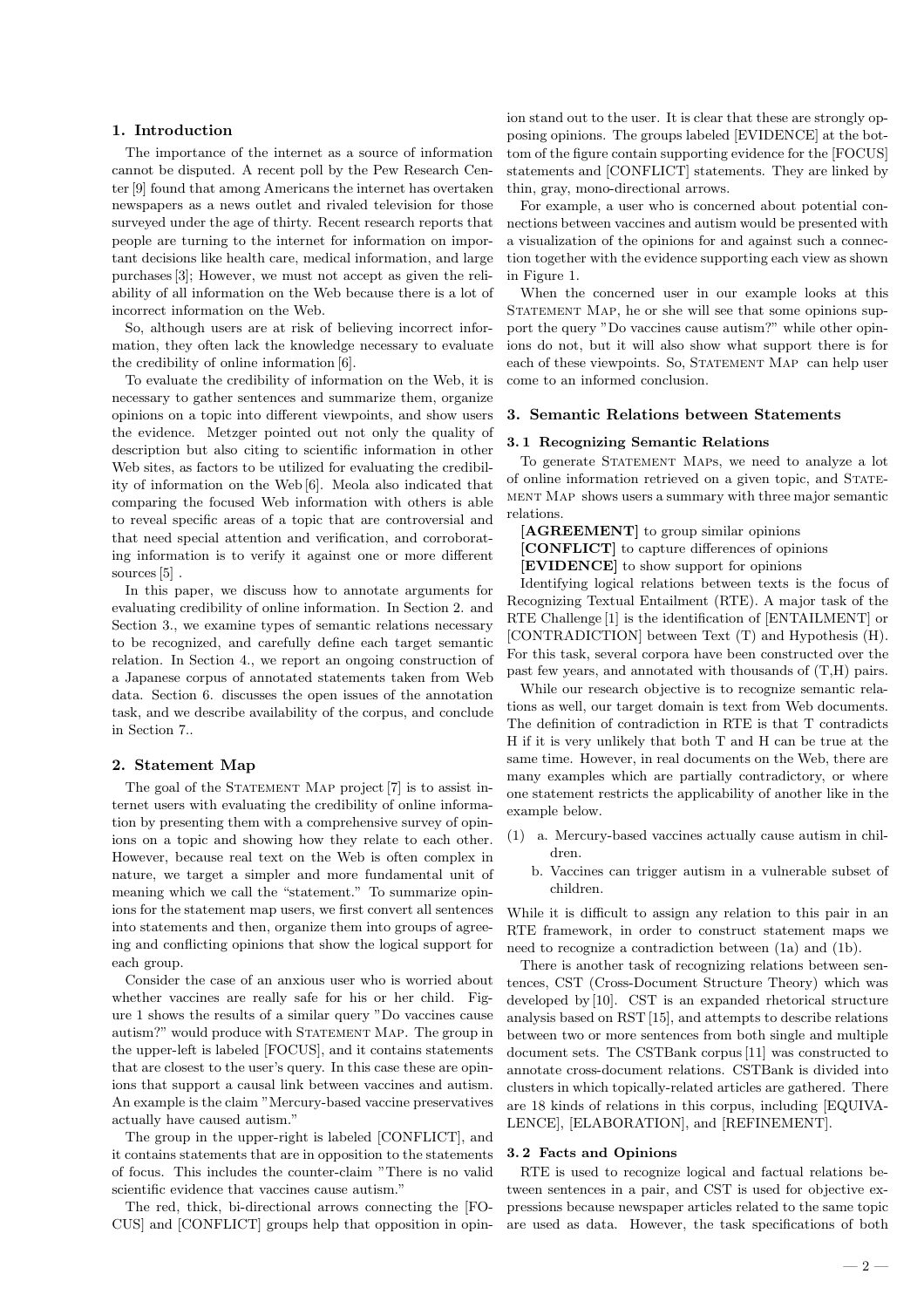## 1. Introduction

The importance of the internet as a source of information cannot be disputed. A recent poll by the Pew Research Center [9] found that among Americans the internet has overtaken newspapers as a news outlet and rivaled television for those surveyed under the age of thirty. Recent research reports that people are turning to the internet for information on important decisions like health care, medical information, and large purchases [3]; However, we must not accept as given the reliability of all information on the Web because there is a lot of incorrect information on the Web.

So, although users are at risk of believing incorrect information, they often lack the knowledge necessary to evaluate the credibility of online information [6].

To evaluate the credibility of information on the Web, it is necessary to gather sentences and summarize them, organize opinions on a topic into different viewpoints, and show users the evidence. Metzger pointed out not only the quality of description but also citing to scientific information in other Web sites, as factors to be utilized for evaluating the credibility of information on the Web [6]. Meola also indicated that comparing the focused Web information with others is able to reveal specific areas of a topic that are controversial and that need special attention and verification, and corroborating information is to verify it against one or more different sources [5] .

In this paper, we discuss how to annotate arguments for evaluating credibility of online information. In Section 2. and Section 3., we examine types of semantic relations necessary to be recognized, and carefully define each target semantic relation. In Section 4., we report an ongoing construction of a Japanese corpus of annotated statements taken from Web data. Section 6. discusses the open issues of the annotation task, and we describe availability of the corpus, and conclude in Section 7..

#### 2. Statement Map

The goal of the STATEMENT MAP project [7] is to assist internet users with evaluating the credibility of online information by presenting them with a comprehensive survey of opinions on a topic and showing how they relate to each other. However, because real text on the Web is often complex in nature, we target a simpler and more fundamental unit of meaning which we call the "statement." To summarize opinions for the statement map users, we first convert all sentences into statements and then, organize them into groups of agreeing and conflicting opinions that show the logical support for each group.

Consider the case of an anxious user who is worried about whether vaccines are really safe for his or her child. Figure 1 shows the results of a similar query "Do vaccines cause autism?" would produce with STATEMENT MAP. The group in the upper-left is labeled [FOCUS], and it contains statements that are closest to the user's query. In this case these are opinions that support a causal link between vaccines and autism. An example is the claim "Mercury-based vaccine preservatives actually have caused autism."

The group in the upper-right is labeled [CONFLICT], and it contains statements that are in opposition to the statements of focus. This includes the counter-claim "There is no valid scientific evidence that vaccines cause autism."

The red, thick, bi-directional arrows connecting the [FO-CUS] and [CONFLICT] groups help that opposition in opin-

ion stand out to the user. It is clear that these are strongly opposing opinions. The groups labeled [EVIDENCE] at the bottom of the figure contain supporting evidence for the [FOCUS] statements and [CONFLICT] statements. They are linked by thin, gray, mono-directional arrows.

For example, a user who is concerned about potential connections between vaccines and autism would be presented with a visualization of the opinions for and against such a connection together with the evidence supporting each view as shown in Figure 1.

When the concerned user in our example looks at this STATEMENT MAP, he or she will see that some opinions support the query "Do vaccines cause autism?" while other opinions do not, but it will also show what support there is for each of these viewpoints. So, STATEMENT MAP can help user come to an informed conclusion.

## 3. Semantic Relations between Statements

## 3. 1 Recognizing Semantic Relations

To generate STATEMENT MAPS, we need to analyze a lot of online information retrieved on a given topic, and Statement Map shows users a summary with three major semantic relations.

[AGREEMENT] to group similar opinions [CONFLICT] to capture differences of opinions [EVIDENCE] to show support for opinions

Identifying logical relations between texts is the focus of Recognizing Textual Entailment (RTE). A major task of the RTE Challenge [1] is the identification of [ENTAILMENT] or [CONTRADICTION] between Text (T) and Hypothesis (H). For this task, several corpora have been constructed over the past few years, and annotated with thousands of (T,H) pairs.

While our research objective is to recognize semantic relations as well, our target domain is text from Web documents. The definition of contradiction in RTE is that T contradicts H if it is very unlikely that both T and H can be true at the same time. However, in real documents on the Web, there are many examples which are partially contradictory, or where one statement restricts the applicability of another like in the example below.

- (1) a. Mercury-based vaccines actually cause autism in children.
	- b. Vaccines can trigger autism in a vulnerable subset of children.

While it is difficult to assign any relation to this pair in an RTE framework, in order to construct statement maps we need to recognize a contradiction between (1a) and (1b).

There is another task of recognizing relations between sentences, CST (Cross-Document Structure Theory) which was developed by [10]. CST is an expanded rhetorical structure analysis based on RST [15], and attempts to describe relations between two or more sentences from both single and multiple document sets. The CSTBank corpus [11] was constructed to annotate cross-document relations. CSTBank is divided into clusters in which topically-related articles are gathered. There are 18 kinds of relations in this corpus, including [EQUIVA-LENCE], [ELABORATION], and [REFINEMENT].

### 3. 2 Facts and Opinions

RTE is used to recognize logical and factual relations between sentences in a pair, and CST is used for objective expressions because newspaper articles related to the same topic are used as data. However, the task specifications of both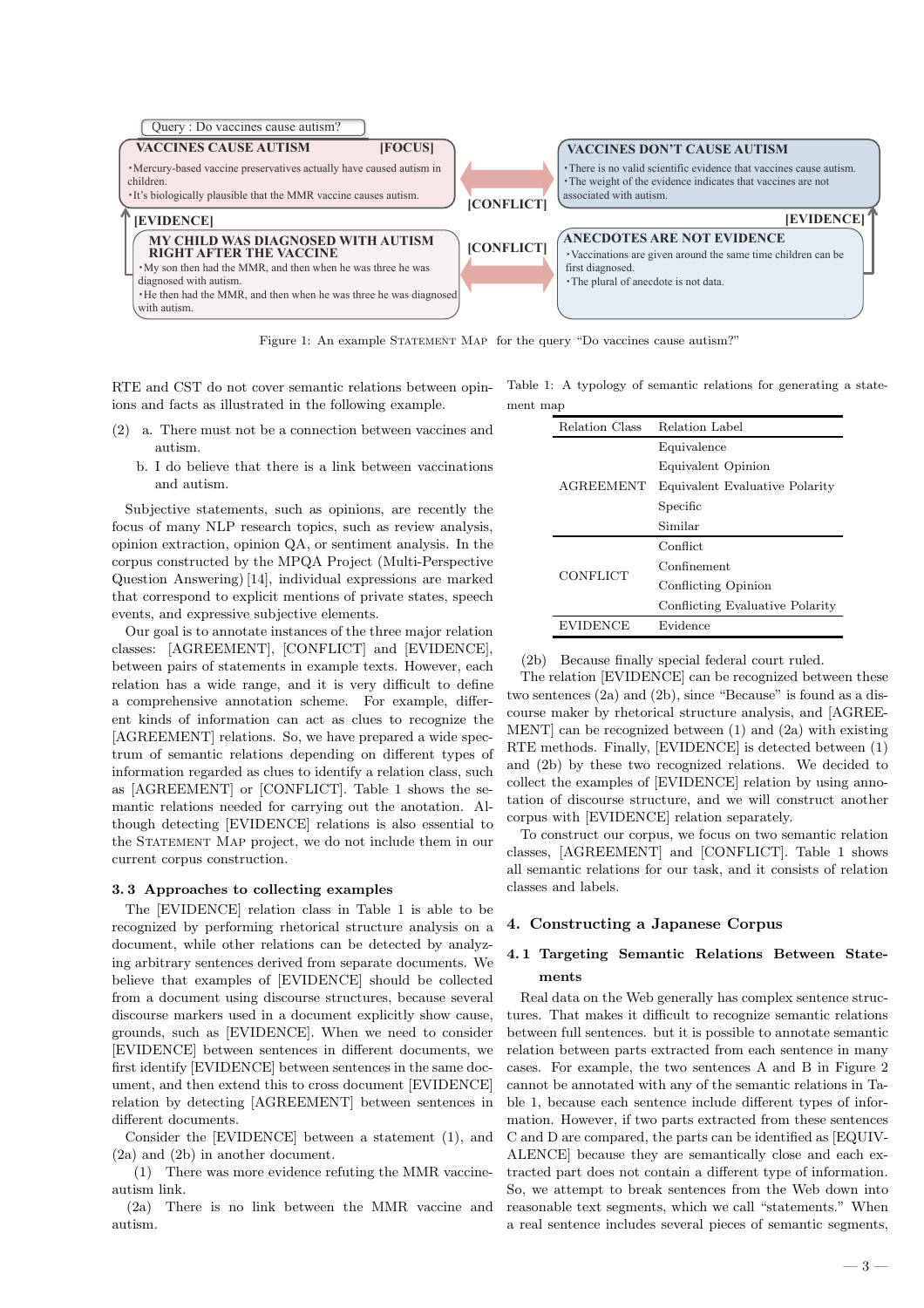

Figure 1: An example STATEMENT MAP for the query "Do vaccines cause autism?"

RTE and CST do not cover semantic relations between opinions and facts as illustrated in the following example.

- (2) a. There must not be a connection between vaccines and autism.
	- b. I do believe that there is a link between vaccinations and autism.

Subjective statements, such as opinions, are recently the focus of many NLP research topics, such as review analysis, opinion extraction, opinion QA, or sentiment analysis. In the corpus constructed by the MPQA Project (Multi-Perspective Question Answering) [14], individual expressions are marked that correspond to explicit mentions of private states, speech events, and expressive subjective elements.

Our goal is to annotate instances of the three major relation classes: [AGREEMENT], [CONFLICT] and [EVIDENCE], between pairs of statements in example texts. However, each relation has a wide range, and it is very difficult to define a comprehensive annotation scheme. For example, different kinds of information can act as clues to recognize the [AGREEMENT] relations. So, we have prepared a wide spectrum of semantic relations depending on different types of information regarded as clues to identify a relation class, such as [AGREEMENT] or [CONFLICT]. Table 1 shows the semantic relations needed for carrying out the anotation. Although detecting [EVIDENCE] relations is also essential to the STATEMENT MAP project, we do not include them in our current corpus construction.

## 3. 3 Approaches to collecting examples

The [EVIDENCE] relation class in Table 1 is able to be recognized by performing rhetorical structure analysis on a document, while other relations can be detected by analyzing arbitrary sentences derived from separate documents. We believe that examples of [EVIDENCE] should be collected from a document using discourse structures, because several discourse markers used in a document explicitly show cause, grounds, such as [EVIDENCE]. When we need to consider [EVIDENCE] between sentences in different documents, we first identify [EVIDENCE] between sentences in the same document, and then extend this to cross document [EVIDENCE] relation by detecting [AGREEMENT] between sentences in different documents.

Consider the [EVIDENCE] between a statement (1), and (2a) and (2b) in another document.

(1) There was more evidence refuting the MMR vaccineautism link.

(2a) There is no link between the MMR vaccine and autism.

Table 1: A typology of semantic relations for generating a statement man

| Relation Class<br>Relation Label |                                 |  |  |
|----------------------------------|---------------------------------|--|--|
|                                  | Equivalence                     |  |  |
|                                  | Equivalent Opinion              |  |  |
| <b>AGREEMENT</b>                 | Equivalent Evaluative Polarity  |  |  |
|                                  | Specific                        |  |  |
|                                  | Similar                         |  |  |
|                                  | Conflict                        |  |  |
| <b>CONFLICT</b>                  | Confinement                     |  |  |
|                                  | Conflicting Opinion             |  |  |
|                                  | Conflicting Evaluative Polarity |  |  |
| <b>EVIDENCE</b>                  | Evidence                        |  |  |

(2b) Because finally special federal court ruled.

The relation [EVIDENCE] can be recognized between these two sentences (2a) and (2b), since "Because" is found as a discourse maker by rhetorical structure analysis, and [AGREE-MENT] can be recognized between (1) and (2a) with existing RTE methods. Finally, [EVIDENCE] is detected between (1) and (2b) by these two recognized relations. We decided to collect the examples of [EVIDENCE] relation by using annotation of discourse structure, and we will construct another corpus with [EVIDENCE] relation separately.

To construct our corpus, we focus on two semantic relation classes, [AGREEMENT] and [CONFLICT]. Table 1 shows all semantic relations for our task, and it consists of relation classes and labels.

# 4. Constructing a Japanese Corpus

# 4. 1 Targeting Semantic Relations Between Statements

Real data on the Web generally has complex sentence structures. That makes it difficult to recognize semantic relations between full sentences. but it is possible to annotate semantic relation between parts extracted from each sentence in many cases. For example, the two sentences A and B in Figure 2 cannot be annotated with any of the semantic relations in Table 1, because each sentence include different types of information. However, if two parts extracted from these sentences C and D are compared, the parts can be identified as [EQUIV-ALENCE] because they are semantically close and each extracted part does not contain a different type of information. So, we attempt to break sentences from the Web down into reasonable text segments, which we call "statements." When a real sentence includes several pieces of semantic segments,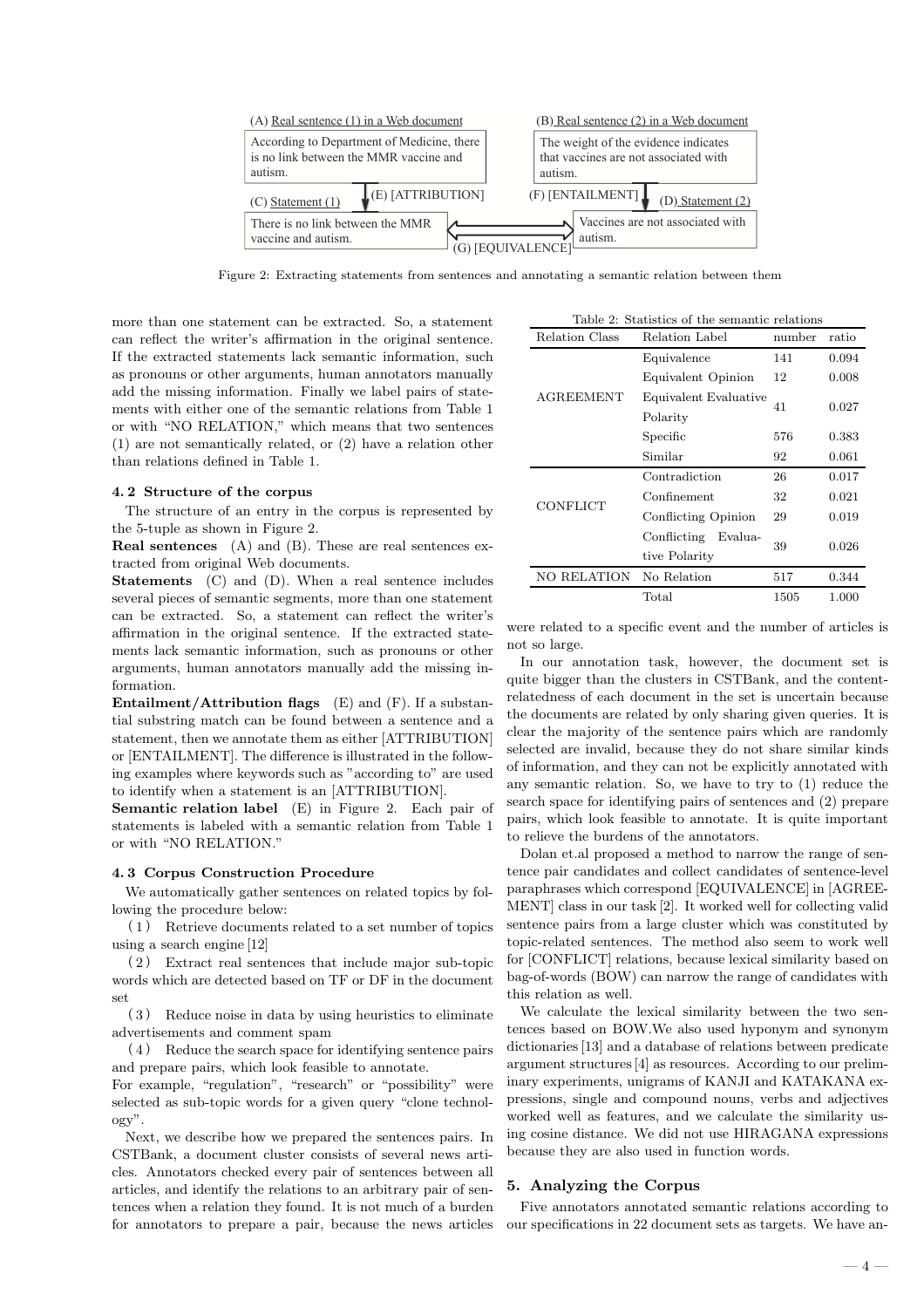

Figure 2: Extracting statements from sentences and annotating a semantic relation between them

more than one statement can be extracted. So, a statement can reflect the writer's affirmation in the original sentence. If the extracted statements lack semantic information, such as pronouns or other arguments, human annotators manually add the missing information. Finally we label pairs of statements with either one of the semantic relations from Table 1 or with "NO RELATION," which means that two sentences (1) are not semantically related, or (2) have a relation other than relations defined in Table 1.

### 4. 2 Structure of the corpus

The structure of an entry in the corpus is represented by the 5-tuple as shown in Figure 2.

Real sentences (A) and (B). These are real sentences extracted from original Web documents.

Statements (C) and (D). When a real sentence includes several pieces of semantic segments, more than one statement can be extracted. So, a statement can reflect the writer's affirmation in the original sentence. If the extracted statements lack semantic information, such as pronouns or other arguments, human annotators manually add the missing information.

**Entailment/Attribution flags** (E) and  $(F)$ . If a substantial substring match can be found between a sentence and a statement, then we annotate them as either [ATTRIBUTION] or [ENTAILMENT]. The difference is illustrated in the following examples where keywords such as "according to" are used to identify when a statement is an [ATTRIBUTION].

Semantic relation label (E) in Figure 2. Each pair of statements is labeled with a semantic relation from Table 1 or with "NO RELATION."

## 4. 3 Corpus Construction Procedure

We automatically gather sentences on related topics by following the procedure below:

( 1 ) Retrieve documents related to a set number of topics using a search engine [12]

( 2 ) Extract real sentences that include major sub-topic words which are detected based on TF or DF in the document set

( 3 ) Reduce noise in data by using heuristics to eliminate advertisements and comment spam

( 4 ) Reduce the search space for identifying sentence pairs and prepare pairs, which look feasible to annotate.

For example, "regulation", "research" or "possibility" were selected as sub-topic words for a given query "clone technology".

Next, we describe how we prepared the sentences pairs. In CSTBank, a document cluster consists of several news articles. Annotators checked every pair of sentences between all articles, and identify the relations to an arbitrary pair of sentences when a relation they found. It is not much of a burden for annotators to prepare a pair, because the news articles

|  | Table 2: Statistics of the semantic relations |  |  |  |
|--|-----------------------------------------------|--|--|--|
|  |                                               |  |  |  |

| Relation Class     | Relation Label         | number | ratio |
|--------------------|------------------------|--------|-------|
|                    | Equivalence            | 141    | 0.094 |
| <b>AGREEMENT</b>   | Equivalent Opinion     | 12     | 0.008 |
|                    | Equivalent Evaluative  | 41     | 0.027 |
|                    | Polarity               |        |       |
|                    | Specific               | 576    | 0.383 |
|                    | Similar                | 92     | 0.061 |
|                    | Contradiction          | 26     | 0.017 |
| <b>CONFLICT</b>    | Confinement            | 32     | 0.021 |
|                    | Conflicting Opinion    | 29     | 0.019 |
|                    | Evalua-<br>Conflicting |        |       |
|                    | tive Polarity          | 39     | 0.026 |
| <b>NO RELATION</b> | No Relation            | 517    | 0.344 |
|                    | Total                  | 1505   | 1.000 |

were related to a specific event and the number of articles is not so large.

In our annotation task, however, the document set is quite bigger than the clusters in CSTBank, and the contentrelatedness of each document in the set is uncertain because the documents are related by only sharing given queries. It is clear the majority of the sentence pairs which are randomly selected are invalid, because they do not share similar kinds of information, and they can not be explicitly annotated with any semantic relation. So, we have to try to (1) reduce the search space for identifying pairs of sentences and (2) prepare pairs, which look feasible to annotate. It is quite important to relieve the burdens of the annotators.

Dolan et.al proposed a method to narrow the range of sentence pair candidates and collect candidates of sentence-level paraphrases which correspond [EQUIVALENCE] in [AGREE-MENT] class in our task [2]. It worked well for collecting valid sentence pairs from a large cluster which was constituted by topic-related sentences. The method also seem to work well for [CONFLICT] relations, because lexical similarity based on bag-of-words (BOW) can narrow the range of candidates with this relation as well.

We calculate the lexical similarity between the two sentences based on BOW.We also used hyponym and synonym dictionaries [13] and a database of relations between predicate argument structures [4] as resources. According to our preliminary experiments, unigrams of KANJI and KATAKANA expressions, single and compound nouns, verbs and adjectives worked well as features, and we calculate the similarity using cosine distance. We did not use HIRAGANA expressions because they are also used in function words.

## 5. Analyzing the Corpus

Five annotators annotated semantic relations according to our specifications in 22 document sets as targets. We have an-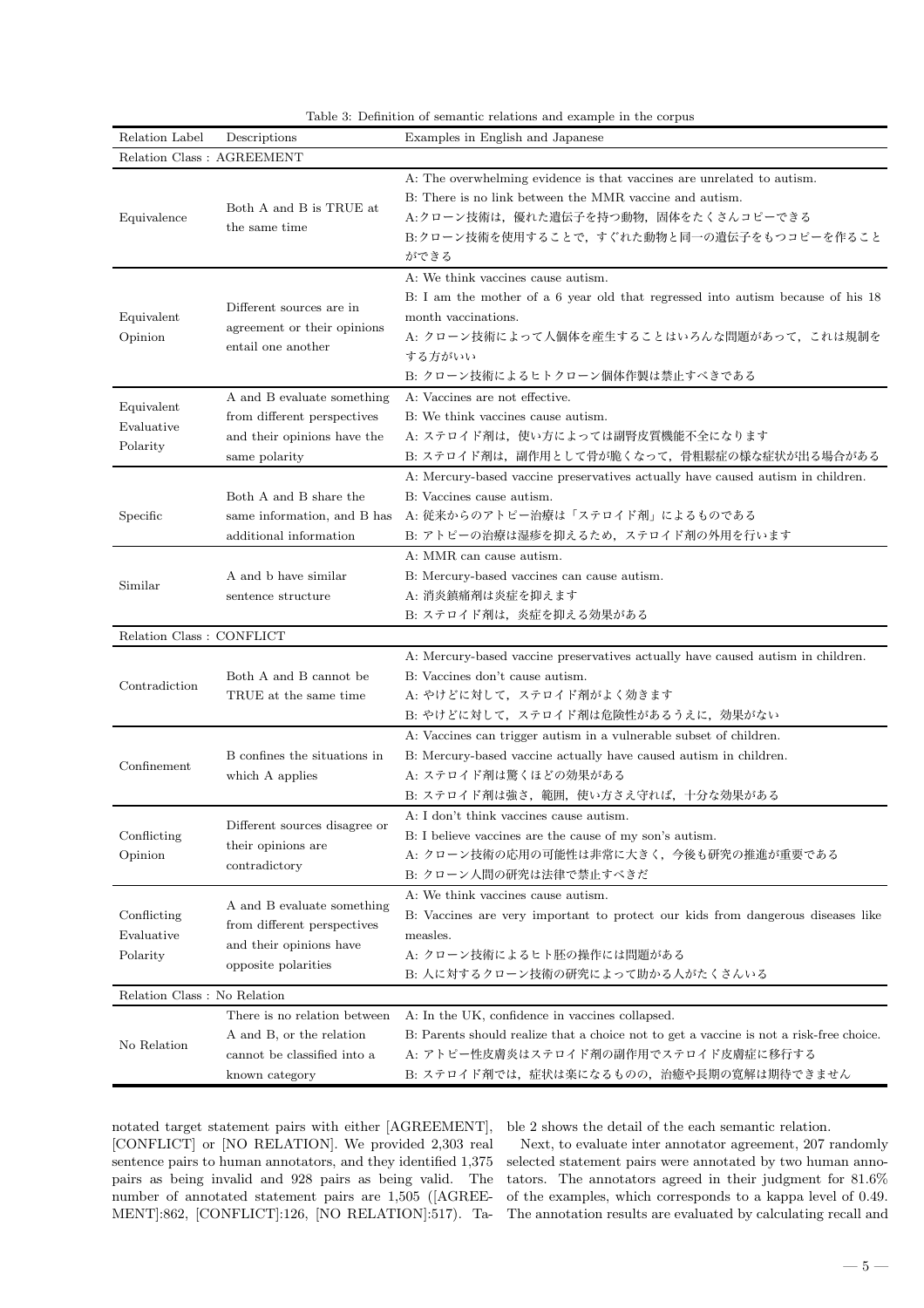| Relation Label                        | Descriptions                                                                                                | Examples in English and Japanese                                                                                                                                                                                                       |  |  |  |
|---------------------------------------|-------------------------------------------------------------------------------------------------------------|----------------------------------------------------------------------------------------------------------------------------------------------------------------------------------------------------------------------------------------|--|--|--|
| Relation Class : AGREEMENT            |                                                                                                             |                                                                                                                                                                                                                                        |  |  |  |
| Equivalence                           | Both A and B is TRUE at<br>the same time                                                                    | A: The overwhelming evidence is that vaccines are unrelated to autism.<br>B: There is no link between the MMR vaccine and autism.<br>A:クローン技術は、優れた遺伝子を持つ動物、固体をたくさんコピーできる<br>B:クローン技術を使用することで、すぐれた動物と同一の遺伝子をもつコピーを作ること<br>ができる          |  |  |  |
| Equivalent<br>Opinion                 | Different sources are in<br>agreement or their opinions<br>entail one another                               | A: We think vaccines cause autism.<br>B: I am the mother of a 6 year old that regressed into autism because of his 18<br>month vaccinations.<br>A: クローン技術によって人個体を産生することはいろんな問題があって、これは規制を<br>する方がいい<br>B: クローン技術によるヒトクローン個体作製は禁止すべきである |  |  |  |
| Equivalent<br>Evaluative<br>Polarity  | A and B evaluate something<br>from different perspectives<br>and their opinions have the<br>same polarity   | A: Vaccines are not effective.<br>B: We think vaccines cause autism.<br>A: ステロイド剤は、使い方によっては副腎皮質機能不全になります<br>B: ステロイド剤は、副作用として骨が脆くなって、骨粗鬆症の様な症状が出る場合がある                                                                                 |  |  |  |
| Specific                              | Both A and B share the<br>same information, and B has<br>additional information                             | A: Mercury-based vaccine preservatives actually have caused autism in children.<br>B: Vaccines cause autism.<br>A: 従来からのアトピー治療は「ステロイド剤」によるものである<br>B: アトピーの治療は湿疹を抑えるため,ステロイド剤の外用を行います<br>A: MMR can cause autism.                      |  |  |  |
| Similar                               | A and b have similar<br>sentence structure                                                                  | B: Mercury-based vaccines can cause autism.<br>A: 消炎鎮痛剤は炎症を抑えます<br>B: ステロイド剤は、炎症を抑える効果がある                                                                                                                                              |  |  |  |
| Relation Class : CONFLICT             |                                                                                                             |                                                                                                                                                                                                                                        |  |  |  |
| Contradiction                         | Both A and B cannot be<br>TRUE at the same time                                                             | A: Mercury-based vaccine preservatives actually have caused autism in children.<br>B: Vaccines don't cause autism.<br>A: やけどに対して、ステロイド剤がよく効きます<br>B: やけどに対して、ステロイド剤は危険性があるうえに、効果がない                                                    |  |  |  |
| Confinement                           | B confines the situations in<br>which A applies                                                             | A: Vaccines can trigger autism in a vulnerable subset of children.<br>B: Mercury-based vaccine actually have caused autism in children.<br>A: ステロイド剤は驚くほどの効果がある<br>B: ステロイド剤は強さ,範囲,使い方さえ守れば,十分な効果がある                                   |  |  |  |
| Conflicting<br>Opinion                | Different sources disagree or<br>their opinions are<br>contradictory                                        | A: I don't think vaccines cause autism.<br>B: I believe vaccines are the cause of my son's autism.<br>A: クローン技術の応用の可能性は非常に大きく、今後も研究の推進が重要である<br>B: クローン人間の研究は法律で禁止すべきだ                                                                 |  |  |  |
| Conflicting<br>Evaluative<br>Polarity | A and B evaluate something<br>from different perspectives<br>and their opinions have<br>opposite polarities | A: We think vaccines cause autism.<br>B: Vaccines are very important to protect our kids from dangerous diseases like<br>measles.<br>A: クローン技術によるヒト胚の操作には問題がある<br>B: 人に対するクローン技術の研究によって助かる人がたくさんいる                                     |  |  |  |
| Relation Class : No Relation          |                                                                                                             |                                                                                                                                                                                                                                        |  |  |  |
| No Relation                           | There is no relation between<br>A and B, or the relation<br>cannot be classified into a<br>known category   | A: In the UK, confidence in vaccines collapsed.<br>B: Parents should realize that a choice not to get a vaccine is not a risk-free choice.<br>A: アトピー性皮膚炎はステロイド剤の副作用でステロイド皮膚症に移行する<br>B: ステロイド剤では, 症状は楽になるものの, 治癒や長期の寛解は期待できません        |  |  |  |

Table 3: Definition of semantic relations and example in the corpus

notated target statement pairs with either [AGREEMENT], [CONFLICT] or [NO RELATION]. We provided 2,303 real sentence pairs to human annotators, and they identified 1,375 pairs as being invalid and 928 pairs as being valid. The number of annotated statement pairs are 1,505 ([AGREE-MENT]:862, [CONFLICT]:126, [NO RELATION]:517). Ta-

ble 2 shows the detail of the each semantic relation.

Next, to evaluate inter annotator agreement, 207 randomly selected statement pairs were annotated by two human annotators. The annotators agreed in their judgment for 81.6% of the examples, which corresponds to a kappa level of 0.49. The annotation results are evaluated by calculating recall and